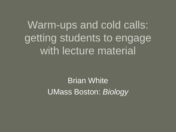Warm-ups and cold calls: getting students to engage with lecture material

> Brian White UMass Boston: *Biology*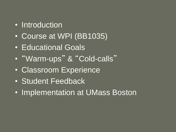- Introduction
- Course at WPI (BB1035)
- Educational Goals
- "Warm-ups " & "Cold-calls"
- Classroom Experience
- Student Feedback
- Implementation at UMass Boston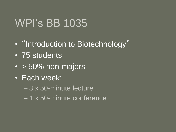## WPI's BB 1035

- "Introduction to Biotechnology"
- 75 students
- > 50% non-majors
- Each week:
	- 3 x 50-minute lecture
	- 1 x 50-minute conference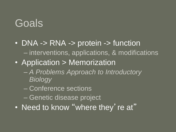## Goals

- DNA -> RNA -> protein -> function – interventions, applications, & modifications
- Application > Memorization
	- *A Problems Approach to Introductory Biology*
	- Conference sections
	- Genetic disease project
- Need to know "where they' re at"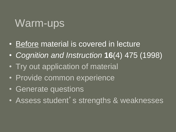## Warm-ups

- Before material is covered in lecture
- *Cognition and Instruction* **16**(4) 475 (1998)
- Try out application of material
- Provide common experience
- Generate questions
- Assess student's strengths & weaknesses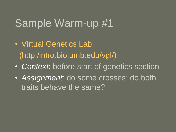- Virtual Genetics Lab (http:/intro.bio.umb.edu/vgl/)
- *Context*: before start of genetics section
- *Assignment*: do some crosses; do both traits behave the same?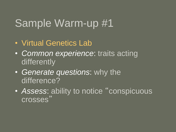- Virtual Genetics Lab
- *Common experience*: traits acting differently
- *Generate questions*: why the difference?
- *Assess*: ability to notice "conspicuous crosses "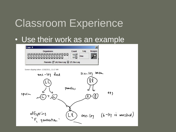## Classroom Experience

#### • Use their work as an example

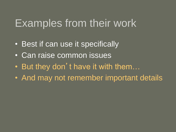### Examples from their work

- Best if can use it specifically
- Can raise common issues
- But they don't have it with them...
- And may not remember important details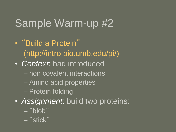- "Build a Protein" (http://intro.bio.umb.edu/pi/)
- *Context*: had introduced
	- non covalent interactions
	- Amino acid properties
	- Protein folding
- *Assignment*: build two proteins:
	- $-$ "blob"
	- "stick"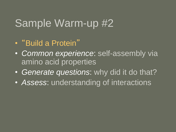- "Build a Protein"
- *Common experience*: self-assembly via amino acid properties
- *Generate questions*: why did it do that?
- *Assess*: understanding of interactions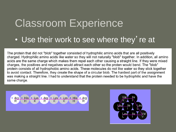## Classroom Experience

#### • Use their work to see where they' re at

The protein that did not "blob" together consisted of hydrophilic amino acids that are all positively charged. Hydrophilic amino acids like water so they will not naturally "blob" together. In addition, all amino acids are the same charge which makes them repel each other causing a straight line. If they were mixed charges, the positives and negatives would attract each other so the proten would bend. The "blob" protein consists of all hydrophobic amino acids. These molecules do not like water so they stick together to avoid contact. Therefore, they create the shape of a circular blob. The hardest part of the assignment was making a straight line. I had to understand that the protein needed to be hydrophilic and have the same charge.



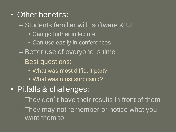- Other benefits:
	- Students familiar with software & UI
		- Can go further in lecture
		- Can use easily in conferences
	- Better use of everyone's time
	- Best questions:
		- What was most difficult part?
		- What was most surprising?
- Pitfalls & challenges:
	- They don't have their results in front of them
	- They may not remember or notice what you want them to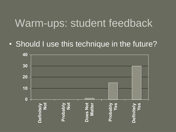### Warm-ups: student feedback

• Should I use this technique in the future?

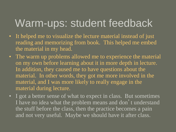## Warm-ups: student feedback

- It helped me to visualize the lecture material instead of just reading and memorizing from book. This helped me embed the material in my head.
- The warm up problems allowed me to experience the material on my own before learning about it in more depth in lecture. In addition, they caused me to have questions about the material. In other words, they got me more involved in the material, and I was more likely to really engage in the material during lecture.
- I got a better sense of what to expect in class. But sometimes I have no idea what the problem means and don't understand the stuff before the class, then the practice becomes a pain and not very useful. Maybe we should have it after class.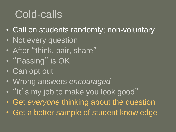## Cold-calls

- Call on students randomly; non-voluntary
- Not every question
- After "think, pair, share"
- "Passing" is OK
- Can opt out
- Wrong answers *encouraged*
- "It's my job to make you look good"
- Get *everyone* thinking about the question
- Get a better sample of student knowledge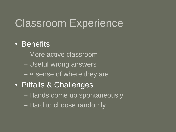# Classroom Experience

#### • Benefits

- More active classroom
- Useful wrong answers
- A sense of where they are
- Pitfalls & Challenges
	- Hands come up spontaneously
	- Hard to choose randomly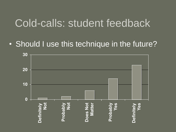### Cold-calls: student feedback

#### • Should I use this technique in the future?

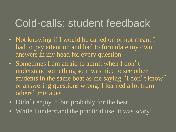## Cold-calls: student feedback

- Not knowing if I would be called on or not meant I had to pay attention and had to formulate my own answers in my head for every question.
- Sometimes I am afraid to admit when I don't understand something so it was nice to see other students in the same boat as me saying "I don't know" or answering questions wrong. I learned a lot from others' mistakes.
- Didn't enjoy it, but probably for the best.
- While I understand the practical use, it was scary!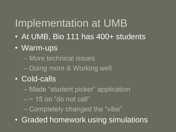## Implementation at UMB

- At UMB, Bio 111 has 400+ students
- Warm-ups
	- More technical issues
	- Doing more & Working well
- Cold-calls
	- Made "student picker" application
	- $\sim$  15 on "do not call"
	- Completely changed the "vibe"
- Graded homework using simulations